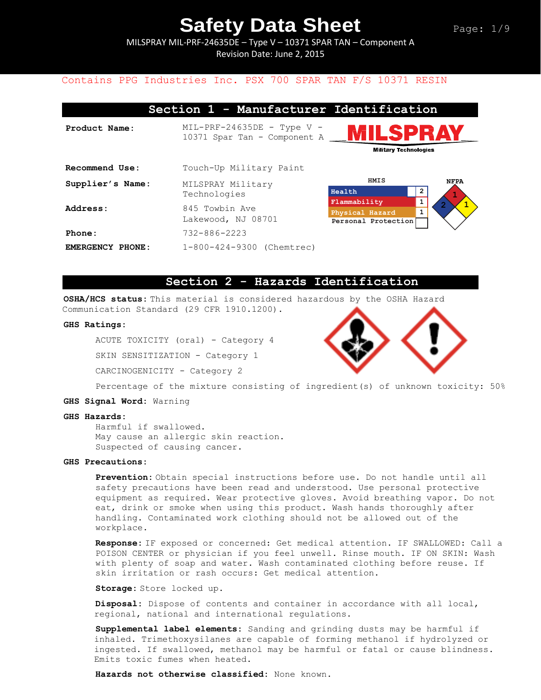MILSPRAY MIL-PRF-24635DE – Type V – 10371 SPAR TAN – Component A Revision Date: June 2, 2015

## Contains PPG Industries Inc. PSX 700 SPAR TAN F/S 10371 RESIN

|                  | Section 1 - Manufacturer Identification                      |                                                                                        |             |
|------------------|--------------------------------------------------------------|----------------------------------------------------------------------------------------|-------------|
| Product Name:    | $MIL-PRF-24635DE$ - Type V -<br>10371 Spar Tan - Component A | MILSPRAY<br><b>Military Technologies</b>                                               |             |
| Recommend Use:   | Touch-Up Military Paint                                      |                                                                                        |             |
| Supplier's Name: | MILSPRAY Military<br>Technologies                            | HMIS<br>2<br>Health                                                                    | <b>NFPA</b> |
| Address:         | 845 Towbin Ave<br>Lakewood, NJ 08701                         | $\mathbf{1}$<br>Flammability<br>$\mathbf{1}$<br>Physical Hazard<br>Personal Protection |             |
| Phone:           | $732 - 886 - 2223$                                           |                                                                                        |             |
| EMERGENCY PHONE: | 1-800-424-9300 (Chemtrec)                                    |                                                                                        |             |

## **Section 2 - Hazards Identification**

**OSHA/HCS status:** This material is considered hazardous by the OSHA Hazard Communication Standard (29 CFR 1910.1200).

### **GHS Ratings:**

ACUTE TOXICITY (oral) - Category 4

SKIN SENSITIZATION - Category 1

CARCINOGENICITY - Category 2



Percentage of the mixture consisting of ingredient(s) of unknown toxicity: 50%

#### **GHS Signal Word:** Warning

#### **GHS Hazards:**

Harmful if swallowed. May cause an allergic skin reaction. Suspected of causing cancer.

### **GHS Precautions:**

**Prevention:** Obtain special instructions before use. Do not handle until all safety precautions have been read and understood. Use personal protective equipment as required. Wear protective gloves. Avoid breathing vapor. Do not eat, drink or smoke when using this product. Wash hands thoroughly after handling. Contaminated work clothing should not be allowed out of the workplace.

**Response:** IF exposed or concerned: Get medical attention. IF SWALLOWED: Call a POISON CENTER or physician if you feel unwell. Rinse mouth. IF ON SKIN: Wash with plenty of soap and water. Wash contaminated clothing before reuse. If skin irritation or rash occurs: Get medical attention.

**Storage:** Store locked up.

**Disposal:** Dispose of contents and container in accordance with all local, regional, national and international regulations.

**Supplemental label elements:** Sanding and grinding dusts may be harmful if inhaled. Trimethoxysilanes are capable of forming methanol if hydrolyzed or ingested. If swallowed, methanol may be harmful or fatal or cause blindness. Emits toxic fumes when heated.

**Hazards not otherwise classified:** None known.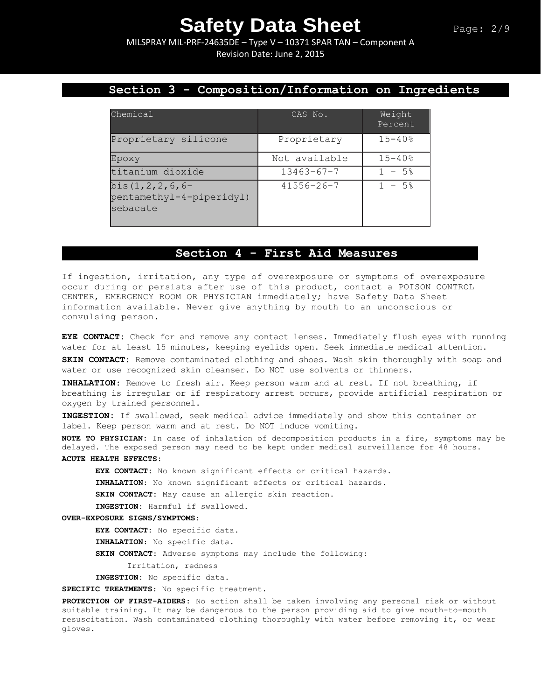MILSPRAY MIL-PRF-24635DE – Type V – 10371 SPAR TAN – Component A Revision Date: June 2, 2015

# **Section 3 - Composition/Information on Ingredients**

| Chemical                                                       | CAS No.          | Weight<br>Percent      |
|----------------------------------------------------------------|------------------|------------------------|
| Proprietary silicone                                           | Proprietary      | $15 - 40$ <sup>8</sup> |
| Epoxy                                                          | Not available    | $15 - 40%$             |
| titanium dioxide                                               | $13463 - 67 - 7$ | $1 - 5$ <sup>8</sup>   |
| bis $(1, 2, 2, 6, 6 -$<br>pentamethyl-4-piperidyl)<br>sebacate | $41556 - 26 - 7$ | $1 - 5$ <sup>2</sup>   |

# **Section 4 - First Aid Measures**

If ingestion, irritation, any type of overexposure or symptoms of overexposure occur during or persists after use of this product, contact a POISON CONTROL CENTER, EMERGENCY ROOM OR PHYSICIAN immediately; have Safety Data Sheet information available. Never give anything by mouth to an unconscious or convulsing person.

**EYE CONTACT:** Check for and remove any contact lenses. Immediately flush eyes with running water for at least 15 minutes, keeping eyelids open. Seek immediate medical attention.

**SKIN CONTACT:** Remove contaminated clothing and shoes. Wash skin thoroughly with soap and water or use recognized skin cleanser. Do NOT use solvents or thinners.

**INHALATION:** Remove to fresh air. Keep person warm and at rest. If not breathing, if breathing is irregular or if respiratory arrest occurs, provide artificial respiration or oxygen by trained personnel.

**INGESTION:** If swallowed, seek medical advice immediately and show this container or label. Keep person warm and at rest. Do NOT induce vomiting.

**NOTE TO PHYSICIAN:** In case of inhalation of decomposition products in a fire, symptoms may be delayed. The exposed person may need to be kept under medical surveillance for 48 hours. **ACUTE HEALTH EFFECTS:**

**EYE CONTACT:** No known significant effects or critical hazards.

**INHALATION**: No known significant effects or critical hazards.

**SKIN CONTACT**: May cause an allergic skin reaction.

**INGESTION**: Harmful if swallowed.

### **OVER-EXPOSURE SIGNS/SYMPTOMS**:

**EYE CONTACT**: No specific data.

**INHALATION**: No specific data.

**SKIN CONTACT**: Adverse symptoms may include the following:

Irritation, redness

**INGESTION**: No specific data.

**SPECIFIC TREATMENTS**: No specific treatment.

**PROTECTION OF FIRST-AIDERS**: No action shall be taken involving any personal risk or without suitable training. It may be dangerous to the person providing aid to give mouth-to-mouth resuscitation. Wash contaminated clothing thoroughly with water before removing it, or wear gloves.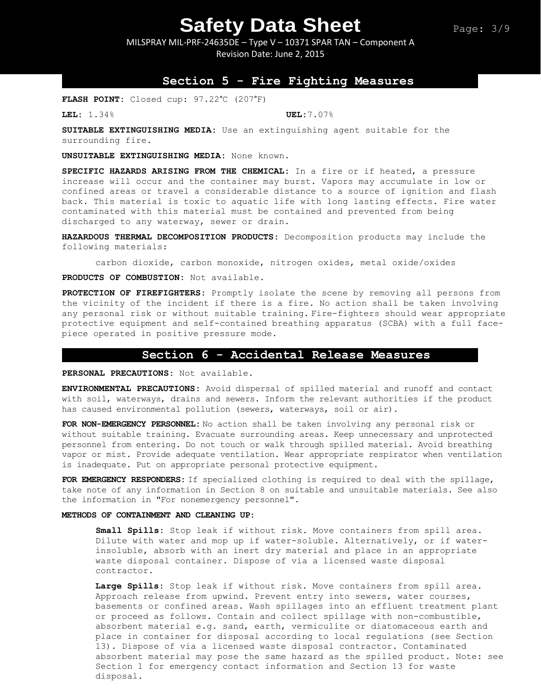MILSPRAY MIL-PRF-24635DE – Type V – 10371 SPAR TAN – Component A Revision Date: June 2, 2015

## **Section 5 - Fire Fighting Measures**

**FLASH POINT:** Closed cup: 97.22°C (207°F)

**LEL:** 1.34% **UEL:**7.07%

**SUITABLE EXTINGUISHING MEDIA:** Use an extinguishing agent suitable for the surrounding fire.

**UNSUITABLE EXTINGUISHING MEDIA:** None known.

**SPECIFIC HAZARDS ARISING FROM THE CHEMICAL:** In a fire or if heated, a pressure increase will occur and the container may burst. Vapors may accumulate in low or confined areas or travel a considerable distance to a source of ignition and flash back. This material is toxic to aquatic life with long lasting effects. Fire water contaminated with this material must be contained and prevented from being discharged to any waterway, sewer or drain.

**HAZARDOUS THERMAL DECOMPOSITION PRODUCTS:** Decomposition products may include the following materials:

carbon dioxide, carbon monoxide, nitrogen oxides, metal oxide/oxides

**PRODUCTS OF COMBUSTION:** Not available.

**PROTECTION OF FIREFIGHTERS:** Promptly isolate the scene by removing all persons from the vicinity of the incident if there is a fire. No action shall be taken involving any personal risk or without suitable training. Fire-fighters should wear appropriate protective equipment and self-contained breathing apparatus (SCBA) with a full facepiece operated in positive pressure mode.

### **Section 6 - Accidental Release Measures**

**PERSONAL PRECAUTIONS:** Not available.

**ENVIRONMENTAL PRECAUTIONS:** Avoid dispersal of spilled material and runoff and contact with soil, waterways, drains and sewers. Inform the relevant authorities if the product has caused environmental pollution (sewers, waterways, soil or air).

**FOR NON-EMERGENCY PERSONNEL:** No action shall be taken involving any personal risk or without suitable training. Evacuate surrounding areas. Keep unnecessary and unprotected personnel from entering. Do not touch or walk through spilled material. Avoid breathing vapor or mist. Provide adequate ventilation. Wear appropriate respirator when ventilation is inadequate. Put on appropriate personal protective equipment.

**FOR EMERGENCY RESPONDERS:** If specialized clothing is required to deal with the spillage, take note of any information in Section 8 on suitable and unsuitable materials. See also the information in "For nonemergency personnel".

#### **METHODS OF CONTAINMENT AND CLEANING UP:**

**Small Spills:** Stop leak if without risk. Move containers from spill area. Dilute with water and mop up if water-soluble. Alternatively, or if waterinsoluble, absorb with an inert dry material and place in an appropriate waste disposal container. Dispose of via a licensed waste disposal contractor.

**Large Spills:** Stop leak if without risk. Move containers from spill area. Approach release from upwind. Prevent entry into sewers, water courses, basements or confined areas. Wash spillages into an effluent treatment plant or proceed as follows. Contain and collect spillage with non-combustible, absorbent material e.g. sand, earth, vermiculite or diatomaceous earth and place in container for disposal according to local regulations (see Section 13). Dispose of via a licensed waste disposal contractor. Contaminated absorbent material may pose the same hazard as the spilled product. Note: see Section 1 for emergency contact information and Section 13 for waste disposal.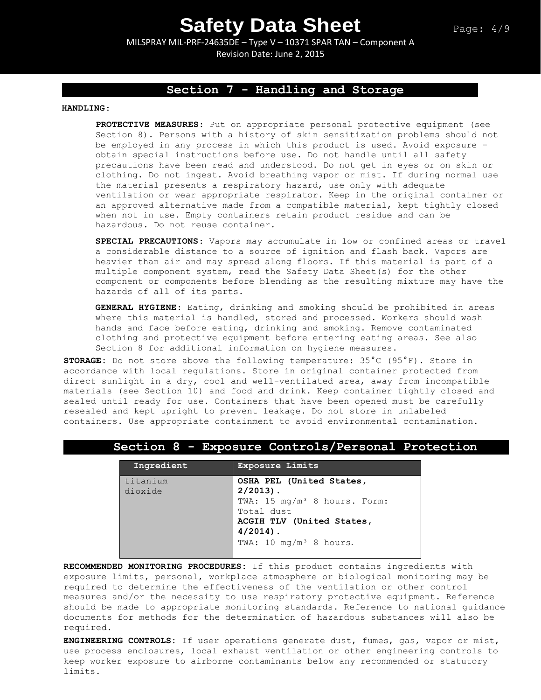MILSPRAY MIL-PRF-24635DE – Type V – 10371 SPAR TAN – Component A Revision Date: June 2, 2015

# **Section 7 - Handling and Storage**

### **HANDLING**:

**PROTECTIVE MEASURES**: Put on appropriate personal protective equipment (see Section 8). Persons with a history of skin sensitization problems should not be employed in any process in which this product is used. Avoid exposure obtain special instructions before use. Do not handle until all safety precautions have been read and understood. Do not get in eyes or on skin or clothing. Do not ingest. Avoid breathing vapor or mist. If during normal use the material presents a respiratory hazard, use only with adequate ventilation or wear appropriate respirator. Keep in the original container or an approved alternative made from a compatible material, kept tightly closed when not in use. Empty containers retain product residue and can be hazardous. Do not reuse container.

**SPECIAL PRECAUTIONS**: Vapors may accumulate in low or confined areas or travel a considerable distance to a source of ignition and flash back. Vapors are heavier than air and may spread along floors. If this material is part of a multiple component system, read the Safety Data Sheet(s) for the other component or components before blending as the resulting mixture may have the hazards of all of its parts.

**GENERAL HYGIENE**: Eating, drinking and smoking should be prohibited in areas where this material is handled, stored and processed. Workers should wash hands and face before eating, drinking and smoking. Remove contaminated clothing and protective equipment before entering eating areas. See also Section 8 for additional information on hygiene measures.

**STORAGE:** Do not store above the following temperature: 35°C (95°F). Store in accordance with local regulations. Store in original container protected from direct sunlight in a dry, cool and well-ventilated area, away from incompatible materials (see Section 10) and food and drink. Keep container tightly closed and sealed until ready for use. Containers that have been opened must be carefully resealed and kept upright to prevent leakage. Do not store in unlabeled containers. Use appropriate containment to avoid environmental contamination.

## **Section 8 - Exposure Controls/Personal Protection**

| Ingredient | Exposure Limits                          |  |  |
|------------|------------------------------------------|--|--|
| titanium   | OSHA PEL (United States,                 |  |  |
| dioxide    | $2/2013$ .                               |  |  |
|            | TWA: 15 mg/m <sup>3</sup> 8 hours. Form: |  |  |
|            | Total dust                               |  |  |
|            | ACGIH TLV (United States,                |  |  |
|            | $4/2014$ .                               |  |  |
|            | TWA: 10 mg/m <sup>3</sup> 8 hours.       |  |  |
|            |                                          |  |  |

**RECOMMENDED MONITORING PROCEDURES:** If this product contains ingredients with exposure limits, personal, workplace atmosphere or biological monitoring may be required to determine the effectiveness of the ventilation or other control measures and/or the necessity to use respiratory protective equipment. Reference should be made to appropriate monitoring standards. Reference to national guidance documents for methods for the determination of hazardous substances will also be required.

**ENGINEERING CONTROLS:** If user operations generate dust, fumes, gas, vapor or mist, use process enclosures, local exhaust ventilation or other engineering controls to keep worker exposure to airborne contaminants below any recommended or statutory limits.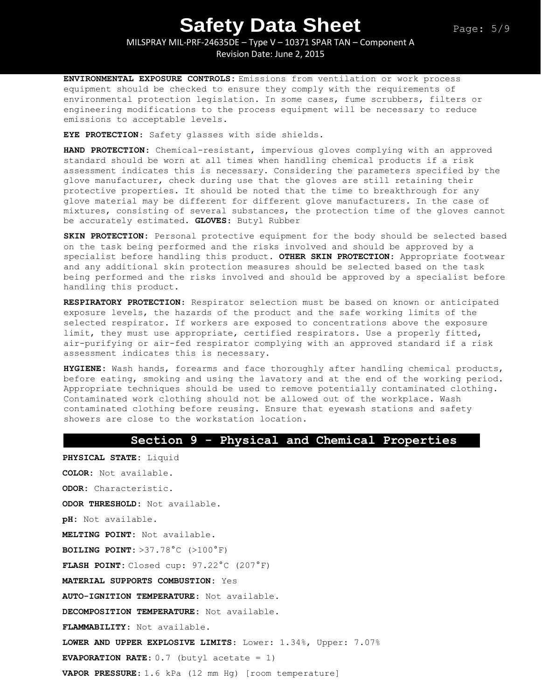MILSPRAY MIL-PRF-24635DE – Type V – 10371 SPAR TAN – Component A Revision Date: June 2, 2015

**ENVIRONMENTAL EXPOSURE CONTROLS:** Emissions from ventilation or work process equipment should be checked to ensure they comply with the requirements of environmental protection legislation. In some cases, fume scrubbers, filters or engineering modifications to the process equipment will be necessary to reduce emissions to acceptable levels.

**EYE PROTECTION**: Safety glasses with side shields.

**HAND PROTECTION**: Chemical-resistant, impervious gloves complying with an approved standard should be worn at all times when handling chemical products if a risk assessment indicates this is necessary. Considering the parameters specified by the glove manufacturer, check during use that the gloves are still retaining their protective properties. It should be noted that the time to breakthrough for any glove material may be different for different glove manufacturers. In the case of mixtures, consisting of several substances, the protection time of the gloves cannot be accurately estimated. **GLOVES**: Butyl Rubber

**SKIN PROTECTION:** Personal protective equipment for the body should be selected based on the task being performed and the risks involved and should be approved by a specialist before handling this product. **OTHER SKIN PROTECTION**: Appropriate footwear and any additional skin protection measures should be selected based on the task being performed and the risks involved and should be approved by a specialist before handling this product.

**RESPIRATORY PROTECTION**: Respirator selection must be based on known or anticipated exposure levels, the hazards of the product and the safe working limits of the selected respirator. If workers are exposed to concentrations above the exposure limit, they must use appropriate, certified respirators. Use a properly fitted, air-purifying or air-fed respirator complying with an approved standard if a risk assessment indicates this is necessary.

**HYGIENE:** Wash hands, forearms and face thoroughly after handling chemical products, before eating, smoking and using the lavatory and at the end of the working period. Appropriate techniques should be used to remove potentially contaminated clothing. Contaminated work clothing should not be allowed out of the workplace. Wash contaminated clothing before reusing. Ensure that eyewash stations and safety showers are close to the workstation location.

## **Section 9 - Physical and Chemical Properties**

**PHYSICAL STATE:** Liquid **COLOR:** Not available. **ODOR:** Characteristic. **ODOR THRESHOLD:** Not available. **pH:** Not available. **MELTING POINT:** Not available. **BOILING POINT:** >37.78°C (>100°F) **FLASH POINT:** Closed cup: 97.22°C (207°F) **MATERIAL SUPPORTS COMBUSTION:** Yes **AUTO-IGNITION TEMPERATURE**: Not available. **DECOMPOSITION TEMPERATURE:** Not available. **FLAMMABILITY**: Not available. **LOWER AND UPPER EXPLOSIVE LIMITS**: Lower: 1.34%, Upper: 7.07% **EVAPORATION RATE:**  $0.7$  (butyl acetate = 1) **VAPOR PRESSURE**: 1.6 kPa (12 mm Hg) [room temperature]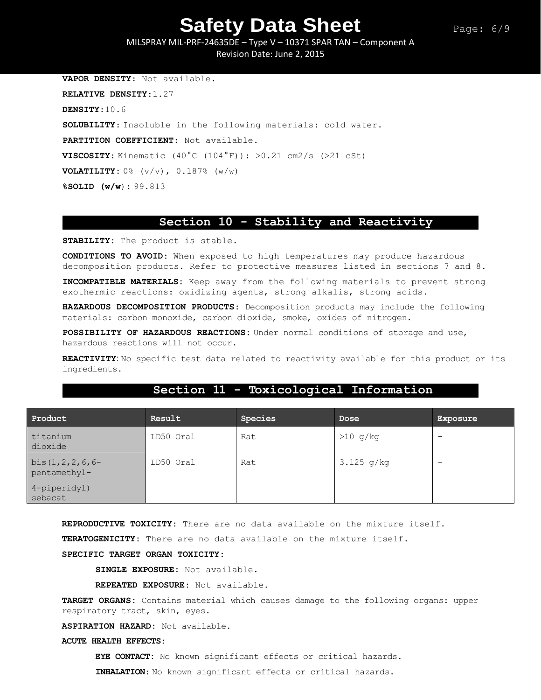MILSPRAY MIL-PRF-24635DE – Type V – 10371 SPAR TAN – Component A Revision Date: June 2, 2015

**VAPOR DENSITY**: Not available. **RELATIVE DENSITY**:1.27 **DENSITY**:10.6 **SOLUBILITY**: Insoluble in the following materials: cold water. **PARTITION COEFFICIENT**: Not available. **VISCOSITY:** Kinematic  $(40^{\circ}C (104^{\circ}F))$ :  $>0.21 cm2/s (>21 cSt)$ **VOLATILITY:**  $0\%$  ( $v/v$ ),  $0.187\%$  ( $w/w$ ) **%SOLID (w/w**): 99.813

## **Section 10 - Stability and Reactivity**

**STABILITY:** The product is stable.

**CONDITIONS TO AVOID:** When exposed to high temperatures may produce hazardous decomposition products. Refer to protective measures listed in sections 7 and 8.

**INCOMPATIBLE MATERIALS:** Keep away from the following materials to prevent strong exothermic reactions: oxidizing agents, strong alkalis, strong acids.

**HAZARDOUS DECOMPOSITION PRODUCTS:** Decomposition products may include the following materials: carbon monoxide, carbon dioxide, smoke, oxides of nitrogen.

**POSSIBILITY OF HAZARDOUS REACTIONS:** Under normal conditions of storage and use, hazardous reactions will not occur.

**REACTIVITY**: No specific test data related to reactivity available for this product or its ingredients.

| Product                                | Result    | Species | Dose         | <b>Exposure</b>          |
|----------------------------------------|-----------|---------|--------------|--------------------------|
| titanium<br>dioxide                    | LD50 Oral | Rat     | $>10$ g/kg   | $\overline{\phantom{0}}$ |
| bis $(1, 2, 2, 6, 6$ -<br>pentamethyl- | LD50 Oral | Rat     | $3.125$ g/kg | $\overline{\phantom{0}}$ |
| 4-piperidyl)<br>sebacat                |           |         |              |                          |

# **Section 11 - Toxicological Information**

**REPRODUCTIVE TOXICITY:** There are no data available on the mixture itself.

**TERATOGENICITY:** There are no data available on the mixture itself.

### **SPECIFIC TARGET ORGAN TOXICITY:**

**SINGLE EXPOSURE:** Not available.

**REPEATED EXPOSURE:** Not available.

**TARGET ORGANS:** Contains material which causes damage to the following organs: upper respiratory tract, skin, eyes.

**ASPIRATION HAZARD:** Not available.

#### **ACUTE HEALTH EFFECTS:**

**EYE CONTACT:** No known significant effects or critical hazards.

**INHALATION**: No known significant effects or critical hazards.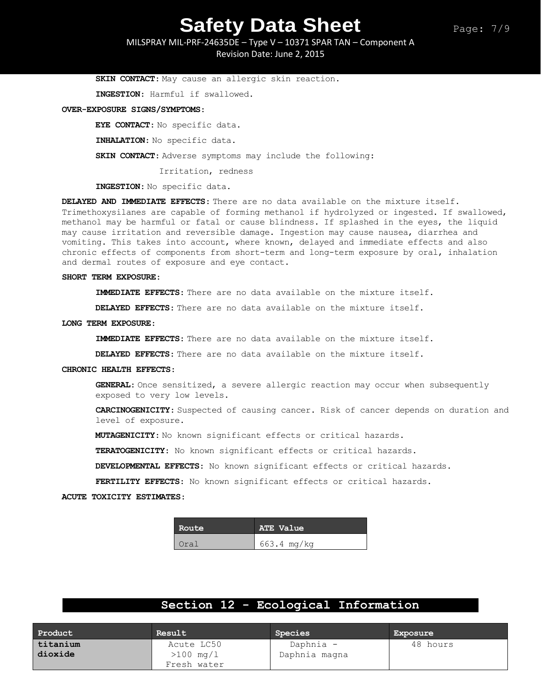MILSPRAY MIL-PRF-24635DE – Type V – 10371 SPAR TAN – Component A Revision Date: June 2, 2015

**SKIN CONTACT**: May cause an allergic skin reaction.

**INGESTION**: Harmful if swallowed.

#### **OVER-EXPOSURE SIGNS/SYMPTOMS**:

**EYE CONTACT**: No specific data.

**INHALATION**: No specific data.

**SKIN CONTACT**: Adverse symptoms may include the following:

Irritation, redness

**INGESTION**: No specific data.

**DELAYED AND IMMEDIATE EFFECTS**: There are no data available on the mixture itself. Trimethoxysilanes are capable of forming methanol if hydrolyzed or ingested. If swallowed, methanol may be harmful or fatal or cause blindness. If splashed in the eyes, the liquid may cause irritation and reversible damage. Ingestion may cause nausea, diarrhea and vomiting. This takes into account, where known, delayed and immediate effects and also chronic effects of components from short-term and long-term exposure by oral, inhalation and dermal routes of exposure and eye contact.

#### **SHORT TERM EXPOSURE**:

**IMMEDIATE EFFECTS**: There are no data available on the mixture itself.

**DELAYED EFFECTS**: There are no data available on the mixture itself.

#### **LONG TERM EXPOSURE**:

**IMMEDIATE EFFECTS**: There are no data available on the mixture itself.

**DELAYED EFFECTS**: There are no data available on the mixture itself.

#### **CHRONIC HEALTH EFFECTS**:

**GENERAL**: Once sensitized, a severe allergic reaction may occur when subsequently exposed to very low levels.

**CARCINOGENICITY**: Suspected of causing cancer. Risk of cancer depends on duration and level of exposure.

**MUTAGENICITY**: No known significant effects or critical hazards.

**TERATOGENICITY**: No known significant effects or critical hazards.

**DEVELOPMENTAL EFFECTS**: No known significant effects or critical hazards.

**FERTILITY EFFECTS**: No known significant effects or critical hazards.

**ACUTE TOXICITY ESTIMATES**:

| Route | ATE Value   |
|-------|-------------|
| Oral  | 663.4 mg/kg |

# **Section 12 - Ecological Information**

| Product  | Result                | Species       | Exposure |
|----------|-----------------------|---------------|----------|
| titanium | Acute LC50            | Daphnia -     | 48 hours |
| dioxide  | $>100 \, \text{mg}/1$ | Daphnia magna |          |
|          | Fresh water           |               |          |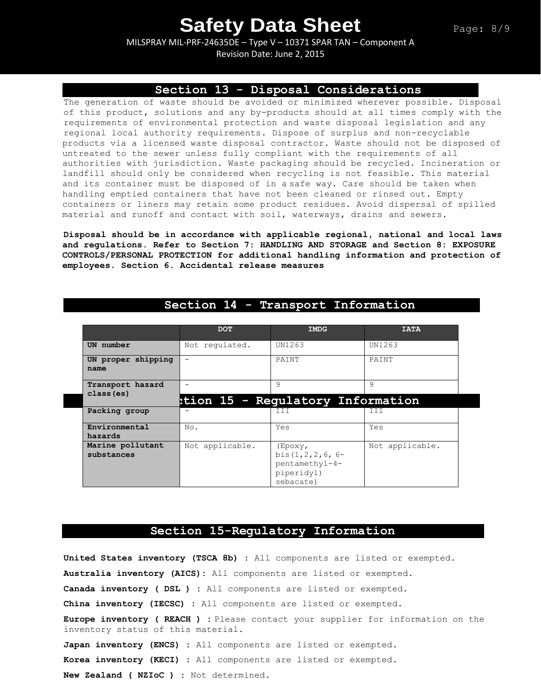MILSPRAY MIL-PRF-24635DE – Type V – 10371 SPAR TAN – Component A Revision Date: June 2, 2015

## **Section 13 - Disposal Considerations**

The generation of waste should be avoided or minimized wherever possible. Disposal of this product, solutions and any by-products should at all times comply with the requirements of environmental protection and waste disposal legislation and any regional local authority requirements. Dispose of surplus and non-recyclable products via a licensed waste disposal contractor. Waste should not be disposed of untreated to the sewer unless fully compliant with the requirements of all authorities with jurisdiction. Waste packaging should be recycled. Incineration or landfill should only be considered when recycling is not feasible. This material and its container must be disposed of in a safe way. Care should be taken when handling emptied containers that have not been cleaned or rinsed out. Empty containers or liners may retain some product residues. Avoid dispersal of spilled material and runoff and contact with soil, waterways, drains and sewers.

**Disposal should be in accordance with applicable regional, national and local laws and regulations. Refer to Section 7: HANDLING AND STORAGE and Section 8: EXPOSURE CONTROLS/PERSONAL PROTECTION for additional handling information and protection of employees. Section 6. Accidental release measures**

|                                | <b>DOT</b>      | <b>IMDG</b>                                                                   | <b>TATA</b>     |
|--------------------------------|-----------------|-------------------------------------------------------------------------------|-----------------|
| UN number                      | Not requlated.  | UN1263                                                                        | UN1263          |
| UN proper shipping<br>name     | -               | PAINT                                                                         | PAINT           |
| Transport hazard<br>class (es) |                 | 9<br>tion 15 - Regulatory Information:                                        | 9               |
| Packing group                  |                 | TT.                                                                           |                 |
| Environmental<br>hazards       | No.             | Yes                                                                           | Yes             |
| Marine pollutant<br>substances | Not applicable. | (Epoxy,<br>bis $(1, 2, 2, 6, 6-$<br>pentamethyl-4-<br>piperidyl)<br>sebacate) | Not applicable. |

## **Section 14 - Transport Information**

## **Section 15-Regulatory Information**

**United States inventory (TSCA 8b) :** All components are listed or exempted. **Australia inventory (AICS):** All components are listed or exempted. **Canada inventory ( DSL ) :** All components are listed or exempted. **China inventory (IECSC) :** All components are listed or exempted. **Europe inventory ( REACH ) :** Please contact your supplier for information on the inventory status of this material. **Japan inventory (ENCS) :** All components are listed or exempted. **Korea inventory (KECI) :** All components are listed or exempted. **New Zealand ( NZIoC ) :** Not determined.